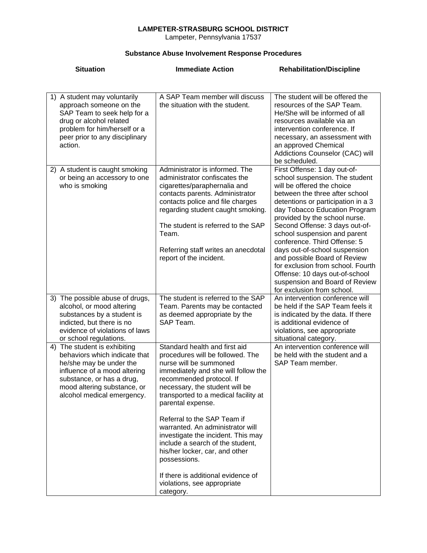## **LAMPETER-STRASBURG SCHOOL DISTRICT**

Lampeter, Pennsylvania 17537

## **Substance Abuse Involvement Response Procedures**

| <b>Situation</b>                                                                                                                                                                                                   | <b>Immediate Action</b>                                                                                                                                                                                                                                                                                                                                                                                                                                                                                                           | <b>Rehabilitation/Discipline</b>                                                                                                                                                                                                                                                                                                                                                                                                                                                                                                                 |
|--------------------------------------------------------------------------------------------------------------------------------------------------------------------------------------------------------------------|-----------------------------------------------------------------------------------------------------------------------------------------------------------------------------------------------------------------------------------------------------------------------------------------------------------------------------------------------------------------------------------------------------------------------------------------------------------------------------------------------------------------------------------|--------------------------------------------------------------------------------------------------------------------------------------------------------------------------------------------------------------------------------------------------------------------------------------------------------------------------------------------------------------------------------------------------------------------------------------------------------------------------------------------------------------------------------------------------|
|                                                                                                                                                                                                                    |                                                                                                                                                                                                                                                                                                                                                                                                                                                                                                                                   |                                                                                                                                                                                                                                                                                                                                                                                                                                                                                                                                                  |
| 1) A student may voluntarily<br>approach someone on the<br>SAP Team to seek help for a<br>drug or alcohol related<br>problem for him/herself or a<br>peer prior to any disciplinary<br>action.                     | A SAP Team member will discuss<br>the situation with the student.                                                                                                                                                                                                                                                                                                                                                                                                                                                                 | The student will be offered the<br>resources of the SAP Team.<br>He/She will be informed of all<br>resources available via an<br>intervention conference. If<br>necessary, an assessment with<br>an approved Chemical<br>Addictions Counselor (CAC) will<br>be scheduled.                                                                                                                                                                                                                                                                        |
| 2) A student is caught smoking<br>or being an accessory to one<br>who is smoking                                                                                                                                   | Administrator is informed. The<br>administrator confiscates the<br>cigarettes/paraphernalia and<br>contacts parents. Administrator<br>contacts police and file charges<br>regarding student caught smoking.<br>The student is referred to the SAP<br>Team.<br>Referring staff writes an anecdotal<br>report of the incident.                                                                                                                                                                                                      | First Offense: 1 day out-of-<br>school suspension. The student<br>will be offered the choice<br>between the three after school<br>detentions or participation in a 3<br>day Tobacco Education Program<br>provided by the school nurse.<br>Second Offense: 3 days out-of-<br>school suspension and parent<br>conference. Third Offense: 5<br>days out-of-school suspension<br>and possible Board of Review<br>for exclusion from school. Fourth<br>Offense: 10 days out-of-school<br>suspension and Board of Review<br>for exclusion from school. |
| 3) The possible abuse of drugs,<br>alcohol, or mood altering<br>substances by a student is<br>indicted, but there is no<br>evidence of violations of laws<br>or school regulations.                                | The student is referred to the SAP<br>Team. Parents may be contacted<br>as deemed appropriate by the<br>SAP Team.                                                                                                                                                                                                                                                                                                                                                                                                                 | An intervention conference will<br>be held if the SAP Team feels it<br>is indicated by the data. If there<br>is additional evidence of<br>violations, see appropriate<br>situational category.                                                                                                                                                                                                                                                                                                                                                   |
| 4) The student is exhibiting<br>behaviors which indicate that<br>he/she may be under the<br>influence of a mood altering<br>substance, or has a drug,<br>mood altering substance, or<br>alcohol medical emergency. | Standard health and first aid<br>procedures will be followed. The<br>nurse will be summoned<br>immediately and she will follow the<br>recommended protocol. If<br>necessary, the student will be<br>transported to a medical facility at<br>parental expense.<br>Referral to the SAP Team if<br>warranted. An administrator will<br>investigate the incident. This may<br>include a search of the student,<br>his/her locker, car, and other<br>possessions.<br>If there is additional evidence of<br>violations, see appropriate | An intervention conference will<br>be held with the student and a<br>SAP Team member.                                                                                                                                                                                                                                                                                                                                                                                                                                                            |